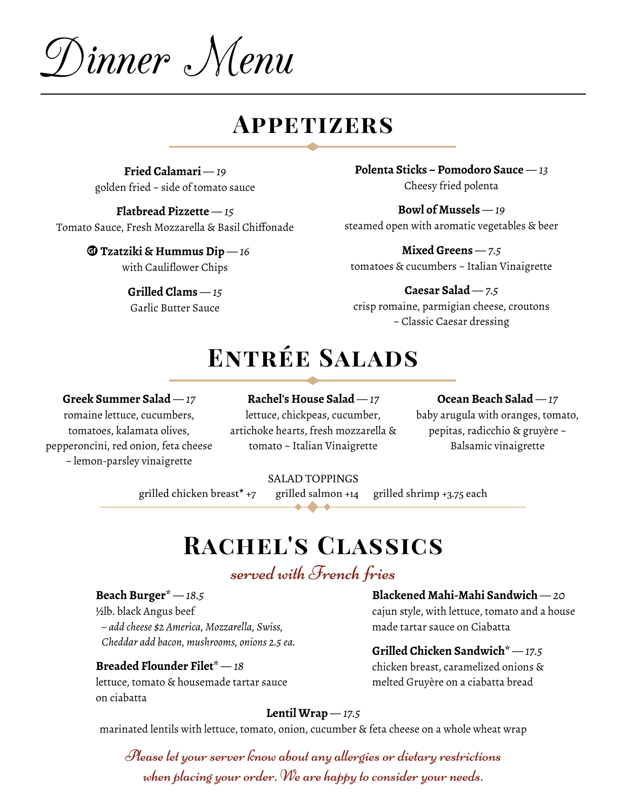Dinner Menu

### **Appetizers**

**Fried Calamari** *— 19* golden fried ~ side of tomato sauce

**Flatbread Pizzette** *— 15* Tomato Sauce, Fresh Mozzarella & Basil Chiffonade

> $\mathbf{\mathbb{G}}$  Tzatziki & Hummus Dip — 16 with Cauliflower Chips

> > **Grilled Clams** *— 15* Garlic Butter Sauce

**Polenta Sticks ~ Pomodoro Sauce** *— 13* Cheesy fried polenta

**Bowl of Mussels** *— 19* steamed open with aromatic vegetables & beer

**Mixed Greens** *— 7.5* tomatoes & cucumbers ~ Italian Vinaigrette

**Caesar Salad** *— 7.5* crisp romaine, parmigian cheese, croutons ~ Classic Caesar dressing

### **Entrée Salads**

#### **Greek Summer Salad** *— 17*

romaine lettuce, cucumbers, tomatoes, kalamata olives, pepperoncini, red onion, feta cheese ~ lemon-parsley vinaigrette

**Rachel's House Salad** *— 17* lettuce, chickpeas, cucumber, artichoke hearts, fresh mozzarella & tomato ~ Italian Vinaigrette

**Ocean Beach Salad** *— 17* baby arugula with oranges, tomato, pepitas, radicchio & gruyère ~

Balsamic vinaigrette

SALAD TOPPINGS

grilled chicken breast\* +7 grilled salmon +14 grilled shrimp +3.75 each

## **Rachel's Classics**

### served with French fries

**Beach Burger\*** *— 18.5* ½lb. black Angus beef *– add cheese \$2 America, Mozzarella, Swiss,*

*Cheddar add bacon, mushrooms, onions 2.5 ea.*

#### **Breaded Flounder Filet\*** *— 18*

lettuce, tomato & housemade tartar sauce on ciabatta

**Blackened Mahi-Mahi Sandwich** *— 20*

cajun style, with lettuce, tomato and a house made tartar sauce on Ciabatta

#### **Grilled Chicken Sandwich\*** *— 17.5*

chicken breast, caramelized onions & melted Gruyère on a ciabatta bread

#### **Lentil Wrap** *— 17.5*

marinated lentils with lettuce, tomato, onion, cucumber & feta cheese on a whole wheat wrap

Please let your server know about any allergies or dietary restrictions when placing your order. We are happy to consider your needs.